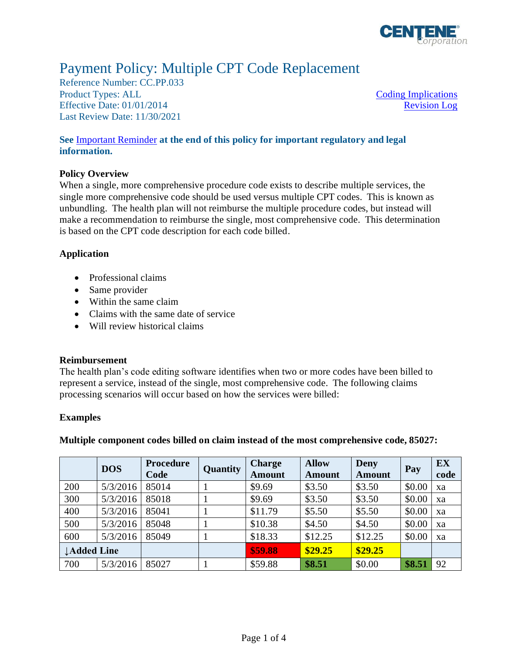

# Payment Policy: Multiple CPT Code Replacement

Reference Number: CC.PP.033 Product Types: ALL [Coding Implications](#page-0-0) Effective Date: 01/01/2014 Last Review Date: 11/30/2021

[Revision Log](#page-2-0)

### **See** [Important Reminder](#page-2-1) **at the end of this policy for important regulatory and legal information.**

#### **Policy Overview**

When a single, more comprehensive procedure code exists to describe multiple services, the single more comprehensive code should be used versus multiple CPT codes. This is known as unbundling. The health plan will not reimburse the multiple procedure codes, but instead will make a recommendation to reimburse the single, most comprehensive code. This determination is based on the CPT code description for each code billed.

#### **Application**

- Professional claims
- Same provider
- Within the same claim
- Claims with the same date of service
- Will review historical claims

## <span id="page-0-0"></span>**Reimbursement**

The health plan's code editing software identifies when two or more codes have been billed to represent a service, instead of the single, most comprehensive code. The following claims processing scenarios will occur based on how the services were billed:

## **Examples**

**Multiple component codes billed on claim instead of the most comprehensive code, 85027:**

|                    | <b>DOS</b> | <b>Procedure</b><br>Code | <b>Quantity</b> | <b>Charge</b><br><b>Amount</b> | <b>Allow</b><br>Amount | <b>Deny</b><br><b>Amount</b> | Pay    | <b>EX</b><br>code |
|--------------------|------------|--------------------------|-----------------|--------------------------------|------------------------|------------------------------|--------|-------------------|
| 200                | 5/3/2016   | 85014                    |                 | \$9.69                         | \$3.50                 | \$3.50                       | \$0.00 | xa                |
| 300                | 5/3/2016   | 85018                    |                 | \$9.69                         | \$3.50                 | \$3.50                       | \$0.00 | xa                |
| 400                | 5/3/2016   | 85041                    |                 | \$11.79                        | \$5.50                 | \$5.50                       | \$0.00 | xa                |
| 500                | 5/3/2016   | 85048                    |                 | \$10.38                        | \$4.50                 | \$4.50                       | \$0.00 | xa                |
| 600                | 5/3/2016   | 85049                    |                 | \$18.33                        | \$12.25                | \$12.25                      | \$0.00 | xa                |
| <b>LAdded Line</b> |            |                          |                 | \$59.88                        | \$29.25                | \$29.25                      |        |                   |
| 700                | 5/3/2016   | 85027                    |                 | \$59.88                        | \$8.51                 | \$0.00                       | \$8.51 | 92                |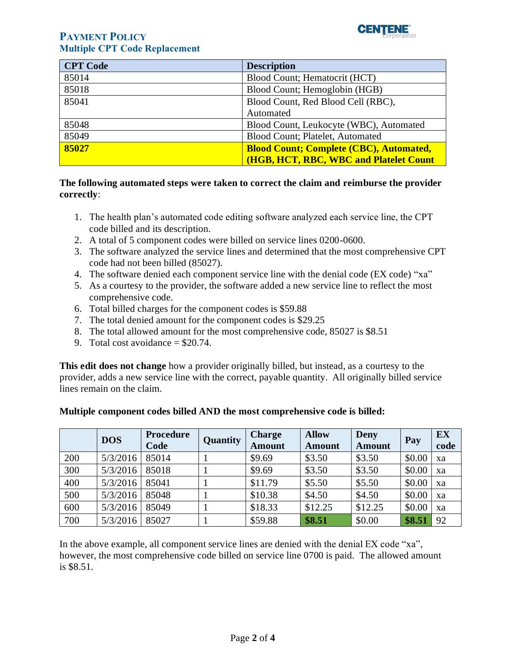

## **PAYMENT POLICY Multiple CPT Code Replacement**

| <b>CPT</b> Code | <b>Description</b>                             |
|-----------------|------------------------------------------------|
| 85014           | Blood Count; Hematocrit (HCT)                  |
| 85018           | Blood Count; Hemoglobin (HGB)                  |
| 85041           | Blood Count, Red Blood Cell (RBC),             |
|                 | Automated                                      |
| 85048           | Blood Count, Leukocyte (WBC), Automated        |
| 85049           | Blood Count; Platelet, Automated               |
| 85027           | <b>Blood Count; Complete (CBC), Automated,</b> |
|                 | (HGB, HCT, RBC, WBC and Platelet Count         |

### **The following automated steps were taken to correct the claim and reimburse the provider correctly**:

- 1. The health plan's automated code editing software analyzed each service line, the CPT code billed and its description.
- 2. A total of 5 component codes were billed on service lines 0200-0600.
- 3. The software analyzed the service lines and determined that the most comprehensive CPT code had not been billed (85027).
- 4. The software denied each component service line with the denial code (EX code) "xa"
- 5. As a courtesy to the provider, the software added a new service line to reflect the most comprehensive code.
- 6. Total billed charges for the component codes is \$59.88
- 7. The total denied amount for the component codes is \$29.25
- 8. The total allowed amount for the most comprehensive code, 85027 is \$8.51
- 9. Total cost avoidance  $= $20.74$ .

**This edit does not change** how a provider originally billed, but instead, as a courtesy to the provider, adds a new service line with the correct, payable quantity. All originally billed service lines remain on the claim.

|     | <b>DOS</b> | Procedure<br>Code | Quantity | <b>Charge</b><br><b>Amount</b> | <b>Allow</b><br><b>Amount</b> | Deny<br><b>Amount</b> | Pay    | EX<br>code |
|-----|------------|-------------------|----------|--------------------------------|-------------------------------|-----------------------|--------|------------|
| 200 | 5/3/2016   | 85014             |          | \$9.69                         | \$3.50                        | \$3.50                | \$0.00 | xa         |
| 300 | 5/3/2016   | 85018             |          | \$9.69                         | \$3.50                        | \$3.50                | \$0.00 | xa         |
| 400 | 5/3/2016   | 85041             |          | \$11.79                        | \$5.50                        | \$5.50                | \$0.00 | xa         |
| 500 | 5/3/2016   | 85048             |          | \$10.38                        | \$4.50                        | \$4.50                | \$0.00 | xa         |
| 600 | 5/3/2016   | 85049             |          | \$18.33                        | \$12.25                       | \$12.25               | \$0.00 | xa         |
| 700 | 5/3/2016   | 85027             |          | \$59.88                        | \$8.51                        | \$0.00                | \$8.51 | 92         |

## **Multiple component codes billed AND the most comprehensive code is billed:**

In the above example, all component service lines are denied with the denial EX code "xa", however, the most comprehensive code billed on service line 0700 is paid. The allowed amount is \$8.51.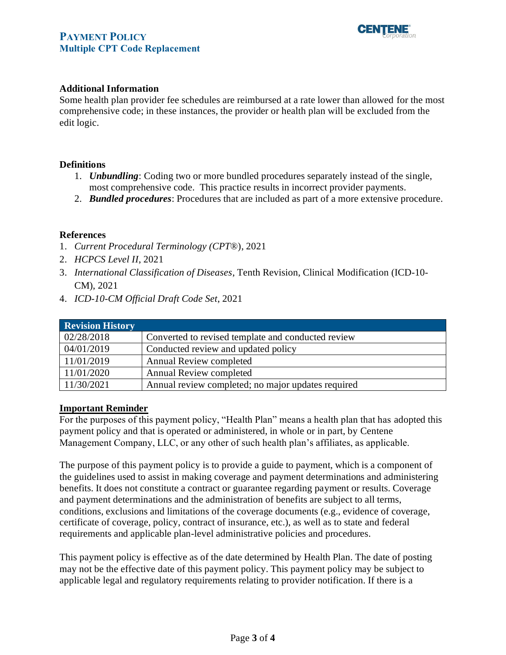# **PAYMENT POLICY Multiple CPT Code Replacement**



#### **Additional Information**

Some health plan provider fee schedules are reimbursed at a rate lower than allowed for the most comprehensive code; in these instances, the provider or health plan will be excluded from the edit logic.

#### **Definitions**

- 1. *Unbundling*: Coding two or more bundled procedures separately instead of the single, most comprehensive code. This practice results in incorrect provider payments.
- 2. *Bundled procedures*: Procedures that are included as part of a more extensive procedure.

#### **References**

- 1. *Current Procedural Terminology (CPT*®), 2021
- 2. *HCPCS Level II*, 2021
- 3. *International Classification of Diseases*, Tenth Revision, Clinical Modification (ICD-10- CM), 2021
- 4. *ICD-10-CM Official Draft Code Set*, 2021

<span id="page-2-0"></span>

| <b>Revision History</b> |                                                    |  |  |  |
|-------------------------|----------------------------------------------------|--|--|--|
| 02/28/2018              | Converted to revised template and conducted review |  |  |  |
| 04/01/2019              | Conducted review and updated policy                |  |  |  |
| 11/01/2019              | Annual Review completed                            |  |  |  |
| 11/01/2020              | Annual Review completed                            |  |  |  |
| 11/30/2021              | Annual review completed; no major updates required |  |  |  |

#### <span id="page-2-1"></span>**Important Reminder**

For the purposes of this payment policy, "Health Plan" means a health plan that has adopted this payment policy and that is operated or administered, in whole or in part, by Centene Management Company, LLC, or any other of such health plan's affiliates, as applicable.

The purpose of this payment policy is to provide a guide to payment, which is a component of the guidelines used to assist in making coverage and payment determinations and administering benefits. It does not constitute a contract or guarantee regarding payment or results. Coverage and payment determinations and the administration of benefits are subject to all terms, conditions, exclusions and limitations of the coverage documents (e.g., evidence of coverage, certificate of coverage, policy, contract of insurance, etc.), as well as to state and federal requirements and applicable plan-level administrative policies and procedures.

This payment policy is effective as of the date determined by Health Plan. The date of posting may not be the effective date of this payment policy. This payment policy may be subject to applicable legal and regulatory requirements relating to provider notification. If there is a